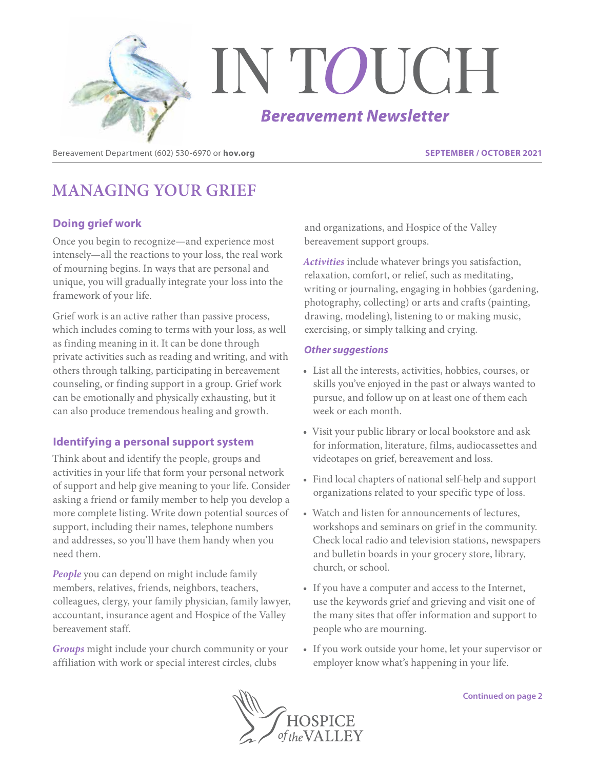

Bereavement Department (602) 530-6970 or **hov.org SEPTEMBER / OCTOBER 2021**

# **MANAGING YOUR GRIEF**

# **Doing grief work**

Once you begin to recognize—and experience most intensely—all the reactions to your loss, the real work of mourning begins. In ways that are personal and unique, you will gradually integrate your loss into the framework of your life.

Grief work is an active rather than passive process, which includes coming to terms with your loss, as well as finding meaning in it. It can be done through private activities such as reading and writing, and with others through talking, participating in bereavement counseling, or finding support in a group. Grief work can be emotionally and physically exhausting, but it can also produce tremendous healing and growth.

## **Identifying a personal support system**

Think about and identify the people, groups and activities in your life that form your personal network of support and help give meaning to your life. Consider asking a friend or family member to help you develop a more complete listing. Write down potential sources of support, including their names, telephone numbers and addresses, so you'll have them handy when you need them.

*People* you can depend on might include family members, relatives, friends, neighbors, teachers, colleagues, clergy, your family physician, family lawyer, accountant, insurance agent and Hospice of the Valley bereavement staff.

*Groups* might include your church community or your affiliation with work or special interest circles, clubs

and organizations, and Hospice of the Valley bereavement support groups.

*Activities* include whatever brings you satisfaction, relaxation, comfort, or relief, such as meditating, writing or journaling, engaging in hobbies (gardening, photography, collecting) or arts and crafts (painting, drawing, modeling), listening to or making music, exercising, or simply talking and crying.

### *Other suggestions*

- List all the interests, activities, hobbies, courses, or skills you've enjoyed in the past or always wanted to pursue, and follow up on at least one of them each week or each month.
- Visit your public library or local bookstore and ask for information, literature, films, audiocassettes and videotapes on grief, bereavement and loss.
- Find local chapters of national self-help and support organizations related to your specific type of loss.
- Watch and listen for announcements of lectures, workshops and seminars on grief in the community. Check local radio and television stations, newspapers and bulletin boards in your grocery store, library, church, or school.
- If you have a computer and access to the Internet, use the keywords grief and grieving and visit one of the many sites that offer information and support to people who are mourning.
- If you work outside your home, let your supervisor or employer know what's happening in your life.

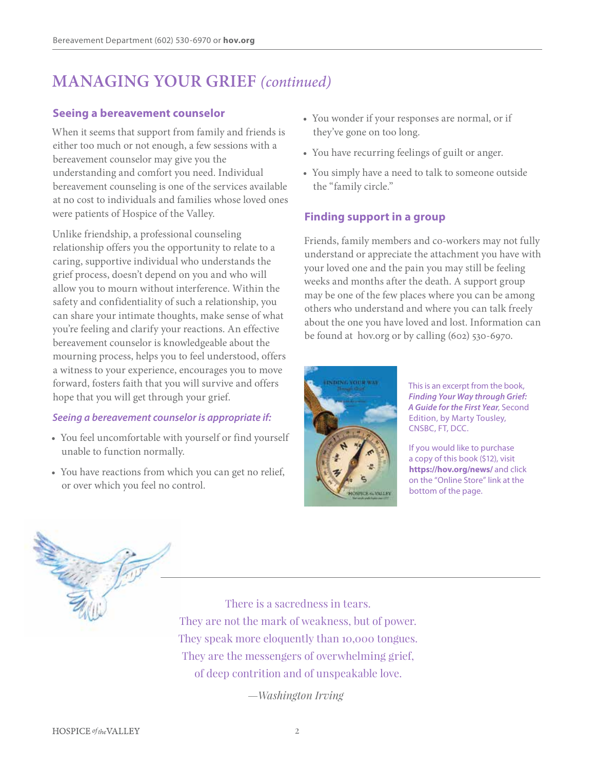# **MANAGING YOUR GRIEF** *(continued)*

### **Seeing a bereavement counselor**

When it seems that support from family and friends is either too much or not enough, a few sessions with a bereavement counselor may give you the understanding and comfort you need. Individual bereavement counseling is one of the services available at no cost to individuals and families whose loved ones were patients of Hospice of the Valley.

Unlike friendship, a professional counseling relationship offers you the opportunity to relate to a caring, supportive individual who understands the grief process, doesn't depend on you and who will allow you to mourn without interference. Within the safety and confidentiality of such a relationship, you can share your intimate thoughts, make sense of what you're feeling and clarify your reactions. An effective bereavement counselor is knowledgeable about the mourning process, helps you to feel understood, offers a witness to your experience, encourages you to move forward, fosters faith that you will survive and offers hope that you will get through your grief.

### *Seeing a bereavement counselor is appropriate if:*

- You feel uncomfortable with yourself or find yourself unable to function normally.
- You have reactions from which you can get no relief, or over which you feel no control.
- You wonder if your responses are normal, or if they've gone on too long.
- You have recurring feelings of guilt or anger.
- You simply have a need to talk to someone outside the "family circle."

## **Finding support in a group**

Friends, family members and co-workers may not fully understand or appreciate the attachment you have with your loved one and the pain you may still be feeling weeks and months after the death. A support group may be one of the few places where you can be among others who understand and where you can talk freely about the one you have loved and lost. Information can be found at hov.org or by calling (602) 530-6970.



This is an excerpt from the book, *Finding Your Way through Grief: A Guide for the First Year*, Second Edition, by Marty Tousley, CNSBC, FT, DCC.

If you would like to purchase a copy of this book (\$12), visit **https://hov.org/news/** and click on the "Online Store" link at the bottom of the page.



*—Washington Irving*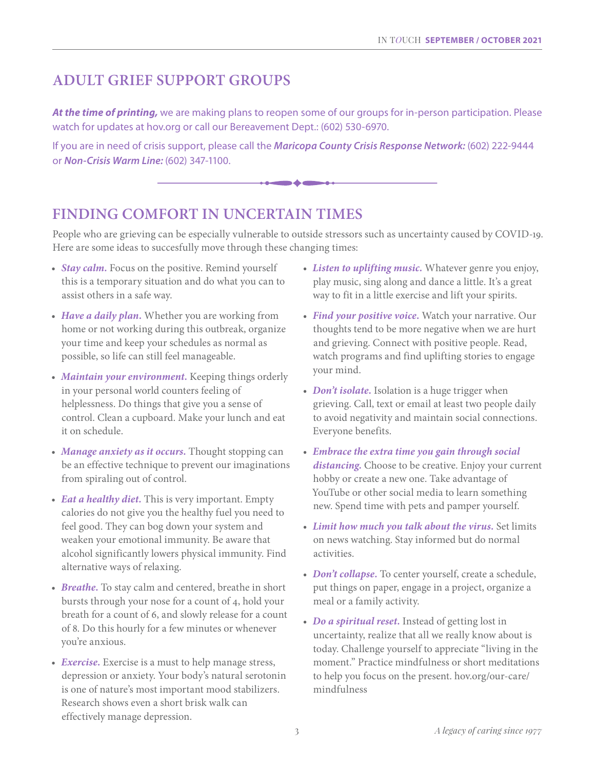# **ADULT GRIEF SUPPORT GROUPS**

*At the time of printing,* we are making plans to reopen some of our groups for in-person participation. Please watch for updates at hov.org or call our Bereavement Dept.: (602) 530-6970.

If you are in need of crisis support, please call the *Maricopa County Crisis Response Network:* (602) 222-9444 or *Non-Crisis Warm Line:* (602) 347-1100.



# **FINDING COMFORT IN UNCERTAIN TIMES**

People who are grieving can be especially vulnerable to outside stressors such as uncertainty caused by COVID-19. Here are some ideas to succesfully move through these changing times:

- *Stay calm.* Focus on the positive. Remind yourself this is a temporary situation and do what you can to assist others in a safe way.
- *Have a daily plan.* Whether you are working from home or not working during this outbreak, organize your time and keep your schedules as normal as possible, so life can still feel manageable.
- *Maintain your environment.* Keeping things orderly in your personal world counters feeling of helplessness. Do things that give you a sense of control. Clean a cupboard. Make your lunch and eat it on schedule.
- *Manage anxiety as it occurs.* Thought stopping can be an effective technique to prevent our imaginations from spiraling out of control.
- *Eat a healthy diet.* This is very important. Empty calories do not give you the healthy fuel you need to feel good. They can bog down your system and weaken your emotional immunity. Be aware that alcohol significantly lowers physical immunity. Find alternative ways of relaxing.
- *Breathe.* To stay calm and centered, breathe in short bursts through your nose for a count of 4, hold your breath for a count of 6, and slowly release for a count of 8. Do this hourly for a few minutes or whenever you're anxious.
- *Exercise.* Exercise is a must to help manage stress, depression or anxiety. Your body's natural serotonin is one of nature's most important mood stabilizers. Research shows even a short brisk walk can effectively manage depression.
- *Listen to uplifting music.* Whatever genre you enjoy, play music, sing along and dance a little. It's a great way to fit in a little exercise and lift your spirits.
- *Find your positive voice.* Watch your narrative. Our thoughts tend to be more negative when we are hurt and grieving. Connect with positive people. Read, watch programs and find uplifting stories to engage your mind.
- *Don't isolate*. Isolation is a huge trigger when grieving. Call, text or email at least two people daily to avoid negativity and maintain social connections. Everyone benefits.
- *Embrace the extra time you gain through social distancing.* Choose to be creative. Enjoy your current hobby or create a new one. Take advantage of YouTube or other social media to learn something new. Spend time with pets and pamper yourself.
- *Limit how much you talk about the virus.* Set limits on news watching. Stay informed but do normal activities.
- *Don't collapse.* To center yourself, create a schedule, put things on paper, engage in a project, organize a meal or a family activity.
- *Do a spiritual reset.* Instead of getting lost in uncertainty, realize that all we really know about is today. Challenge yourself to appreciate "living in the moment." Practice mindfulness or short meditations to help you focus on the present. hov.org/our-care/ mindfulness